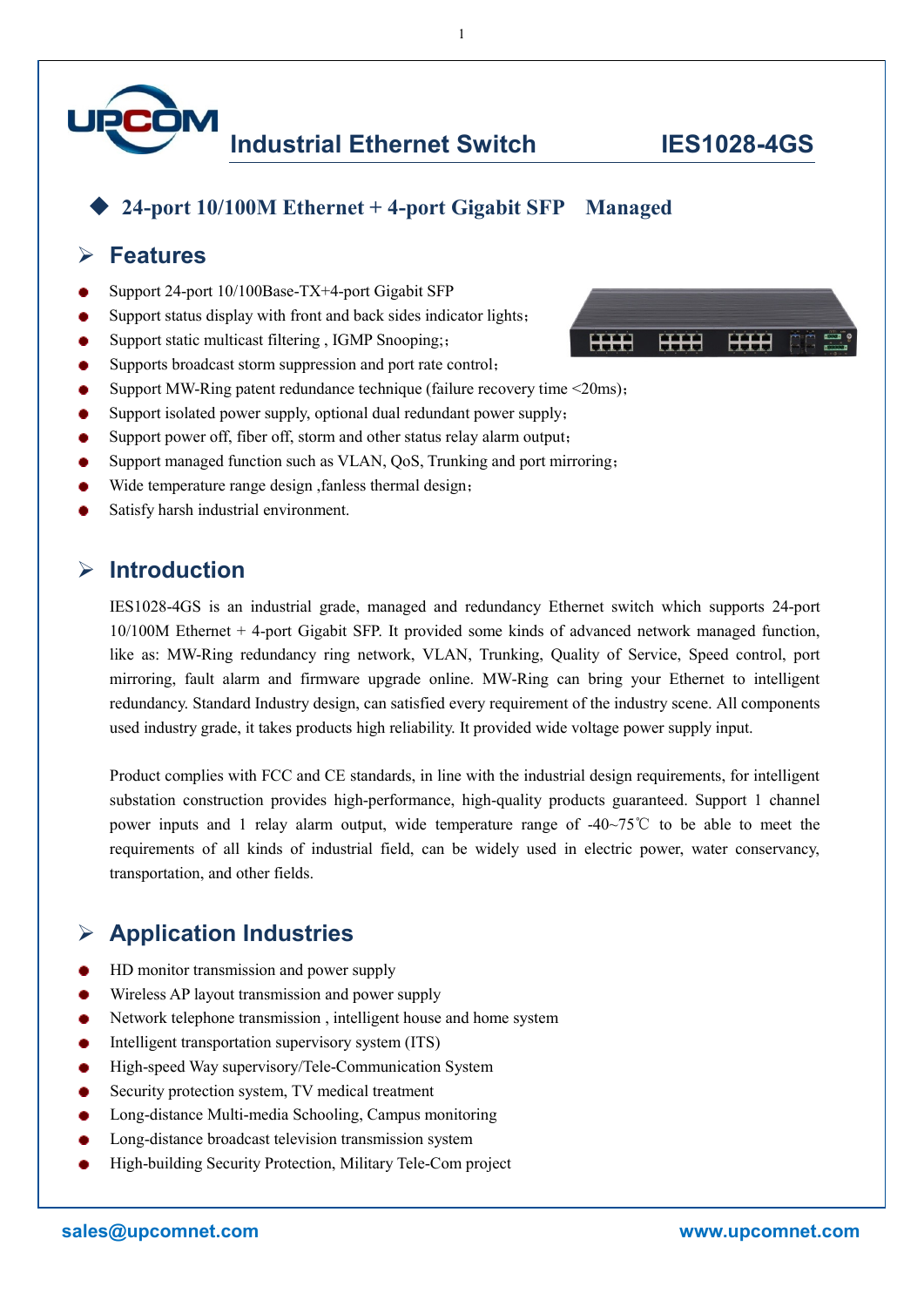

#### **24-port 10/100M Ethernet + 4-port Gigabit SFP Managed**

#### **Features**

- Support 24-port 10/100Base-TX+4-port Gigabit SFP
- Support status display with front and back sides indicator lights;
- Support static multicast filtering , IGMP Snooping;;
- Supports broadcast storm suppression and port rate control;
- Support MW-Ring patent redundance technique (failure recovery time <20ms);
- Support isolated power supply, optional dual redundant power supply;
- Support power off, fiber off, storm and other status relay alarm output;
- Support managed function such as VLAN, QoS, Trunking and port mirroring;
- Wide temperature range design, fanless thermal design;
- Satisfy harsh industrial environment.

### **Introduction**

IES1028-4GS is an industrial grade, managed and redundancy Ethernet switch which supports 24-port 10/100M Ethernet + 4-port Gigabit SFP. It provided some kinds of advanced network managed function, like as: MW-Ring redundancy ring network, VLAN, Trunking, Quality of Service, Speed control, port mirroring, fault alarm and firmware upgrade online. MW-Ring can bring your Ethernet to intelligent redundancy. Standard Industry design, can satisfied every requirement of the industry scene. All components used industry grade, it takes products high reliability. It provided wide voltage power supply input.

Product complies with FCC and CE standards, in line with the industrial design requirements, for intelligent substation construction provides high-performance, high-quality products guaranteed. Support 1 channel power inputs and 1 relay alarm output, wide temperature range of -40~75℃ to be able to meet the requirements of all kinds of industrial field, can be widely used in electric power, water conservancy, transportation, and other fields.

## **Application Industries**

- HD monitor transmission and power supply
- Wireless AP layout transmission and power supply
- Network telephone transmission , intelligent house and home system ۰
- Intelligent transportation supervisory system (ITS)
- High-speed Way supervisory/Tele-Communication System
- Security protection system, TV medical treatment
- Long-distance Multi-media Schooling, Campus monitoring
- Long-distance broadcast television transmission system
- High-building Security Protection, Military Tele-Com project



1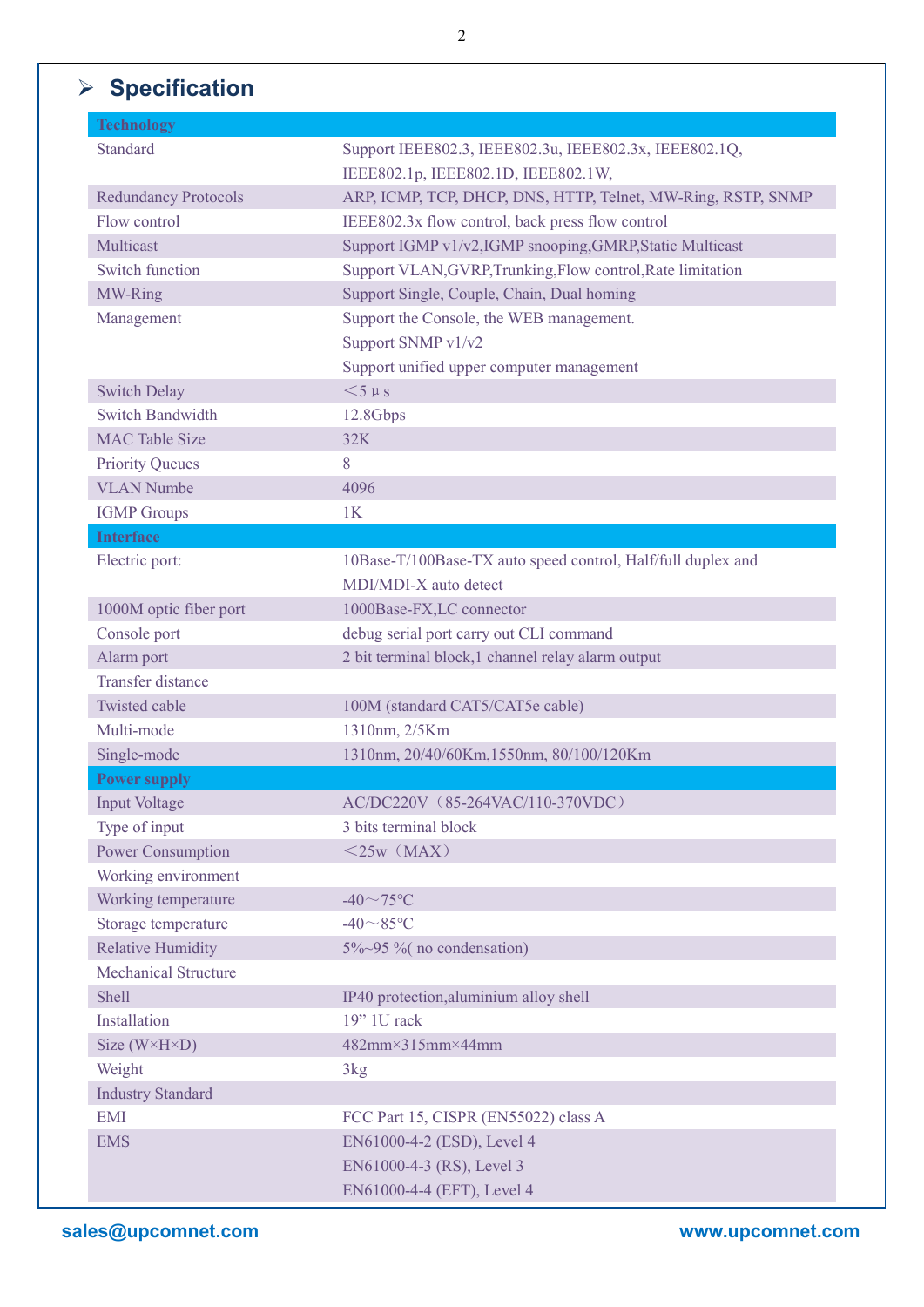# **Specification**

| <b>Technology</b>            |                                                              |
|------------------------------|--------------------------------------------------------------|
| <b>Standard</b>              | Support IEEE802.3, IEEE802.3u, IEEE802.3x, IEEE802.1Q,       |
|                              | IEEE802.1p, IEEE802.1D, IEEE802.1W,                          |
| <b>Redundancy Protocols</b>  | ARP, ICMP, TCP, DHCP, DNS, HTTP, Telnet, MW-Ring, RSTP, SNMP |
| Flow control                 | IEEE802.3x flow control, back press flow control             |
| Multicast                    | Support IGMP v1/v2,IGMP snooping,GMRP,Static Multicast       |
| <b>Switch function</b>       | Support VLAN, GVRP, Trunking, Flow control, Rate limitation  |
| MW-Ring                      | Support Single, Couple, Chain, Dual homing                   |
| Management                   | Support the Console, the WEB management.                     |
|                              | Support SNMP v1/v2                                           |
|                              | Support unified upper computer management                    |
| <b>Switch Delay</b>          | $<$ 5 $\mu$ s                                                |
| <b>Switch Bandwidth</b>      | 12.8Gbps                                                     |
| <b>MAC Table Size</b>        | 32K                                                          |
| <b>Priority Queues</b>       | 8                                                            |
| <b>VLAN Numbe</b>            | 4096                                                         |
| <b>IGMP</b> Groups           | 1K                                                           |
| <b>Interface</b>             |                                                              |
| Electric port:               | 10Base-T/100Base-TX auto speed control, Half/full duplex and |
|                              | MDI/MDI-X auto detect                                        |
| 1000M optic fiber port       | 1000Base-FX,LC connector                                     |
| Console port                 | debug serial port carry out CLI command                      |
| Alarm port                   | 2 bit terminal block, 1 channel relay alarm output           |
| <b>Transfer distance</b>     |                                                              |
| <b>Twisted cable</b>         | 100M (standard CAT5/CAT5e cable)                             |
| Multi-mode                   | 1310nm, 2/5Km                                                |
| Single-mode                  | 1310nm, 20/40/60Km, 1550nm, 80/100/120Km                     |
| <b>Power supply</b>          |                                                              |
| <b>Input Voltage</b>         | AC/DC220V (85-264VAC/110-370VDC)                             |
| Type of input                | 3 bits terminal block                                        |
| Power Consumption            | $<$ 25w (MAX)                                                |
| Working environment          |                                                              |
| Working temperature          | $-40 \sim 75$ °C                                             |
| Storage temperature          | $-40 \sim 85$ °C                                             |
| <b>Relative Humidity</b>     | 5%~95 % (no condensation)                                    |
| <b>Mechanical Structure</b>  |                                                              |
| Shell                        | IP40 protection, aluminium alloy shell                       |
| Installation                 | $19"$ 1U rack                                                |
| Size $(W \times H \times D)$ | 482mm×315mm×44mm                                             |
| Weight                       | 3kg                                                          |
| <b>Industry Standard</b>     |                                                              |
| <b>EMI</b>                   | FCC Part 15, CISPR (EN55022) class A                         |
| <b>EMS</b>                   | EN61000-4-2 (ESD), Level 4                                   |
|                              | EN61000-4-3 (RS), Level 3                                    |
|                              | EN61000-4-4 (EFT), Level 4                                   |
|                              |                                                              |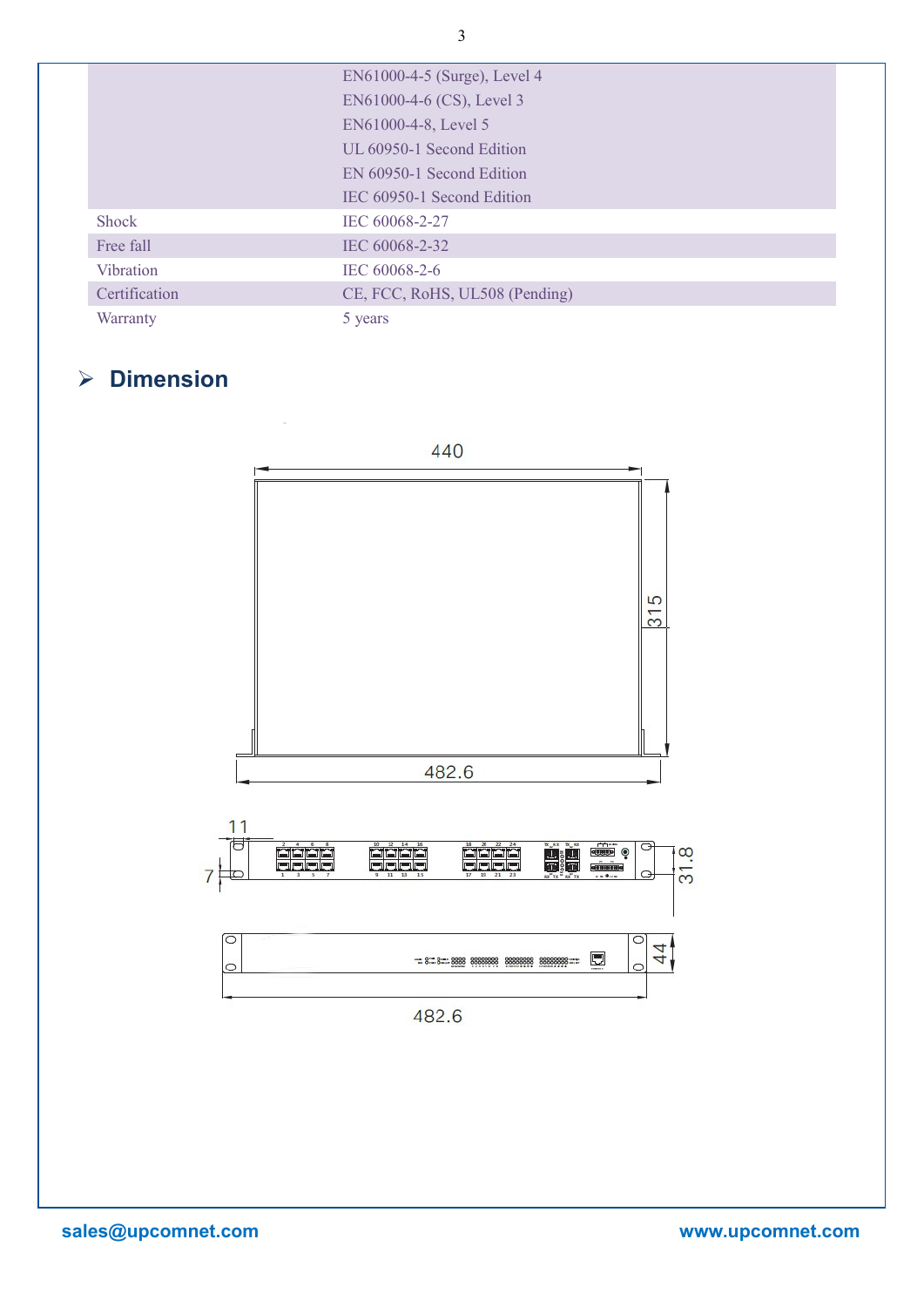|               | EN61000-4-5 (Surge), Level 4   |
|---------------|--------------------------------|
|               | EN61000-4-6 (CS), Level 3      |
|               | EN61000-4-8, Level 5           |
|               | UL 60950-1 Second Edition      |
|               | EN 60950-1 Second Edition      |
|               | IEC 60950-1 Second Edition     |
| Shock         | IEC 60068-2-27                 |
| Free fall     | IEC 60068-2-32                 |
| Vibration     | IEC 60068-2-6                  |
| Certification | CE, FCC, RoHS, UL508 (Pending) |
| Warranty      | 5 years                        |

# **Dimension**